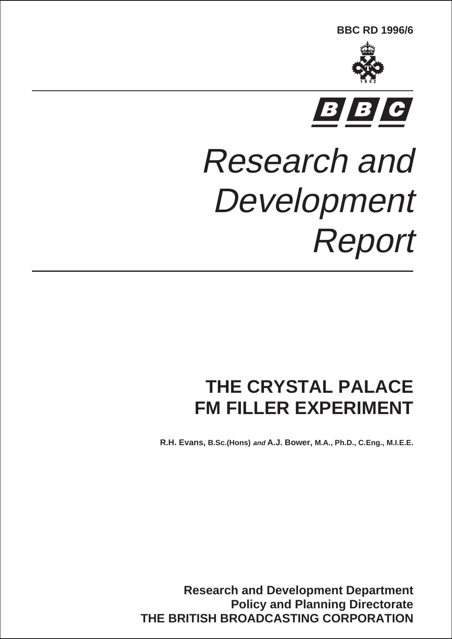**BBC RD 1996/6**





# Research and Development Report

# **THE CRYSTAL PALACE FM FILLER EXPERIMENT**

**R.H. Evans, B.Sc.(Hons) and A.J. Bower, M.A., Ph.D., C.Eng., M.I.E.E.**

**Research and Development Department Policy and Planning Directorate THE BRITISH BROADCASTING CORPORATION**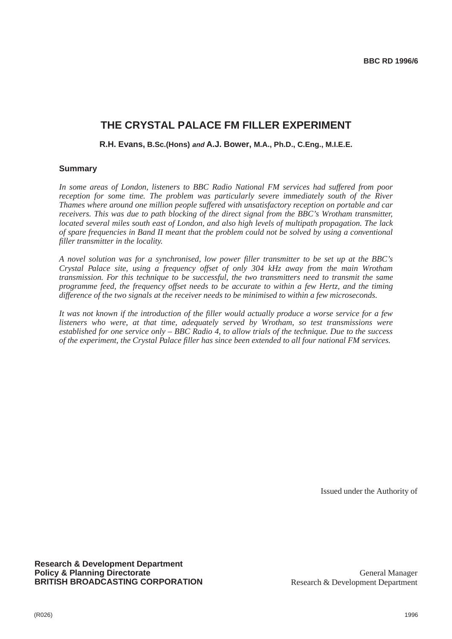### **THE CRYSTAL PALACE FM FILLER EXPERIMENT**

#### **R.H. Evans, B.Sc.(Hons) and A.J. Bower, M.A., Ph.D., C.Eng., M.I.E.E.**

#### **Summary**

*In some areas of London, listeners to BBC Radio National FM services had suffered from poor reception for some time. The problem was particularly severe immediately south of the River Thames where around one million people suffered with unsatisfactory reception on portable and car receivers. This was due to path blocking of the direct signal from the BBC's Wrotham transmitter, located several miles south east of London, and also high levels of multipath propagation. The lack of spare frequencies in Band II meant that the problem could not be solved by using a conventional filler transmitter in the locality.*

*A novel solution was for a synchronised, low power filler transmitter to be set up at the BBC's Crystal Palace site, using a frequency offset of only 304 kHz away from the main Wrotham transmission. For this technique to be successful, the two transmitters need to transmit the same programme feed, the frequency offset needs to be accurate to within a few Hertz, and the timing difference of the two signals at the receiver needs to be minimised to within a few microseconds.*

*It was not known if the introduction of the filler would actually produce a worse service for a few listeners who were, at that time, adequately served by Wrotham, so test transmissions were established for one service only – BBC Radio 4, to allow trials of the technique. Due to the success of the experiment, the Crystal Palace filler has since been extended to all four national FM services.*

Issued under the Authority of

**Research & Development Department Policy & Planning Directorate BRITISH BROADCASTING CORPORATION**

General Manager Research & Development Department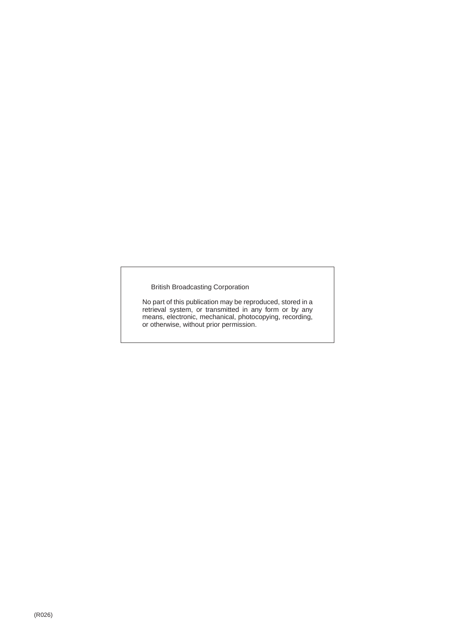British Broadcasting Corporation

No part of this publication may be reproduced, stored in a retrieval system, or transmitted in any form or by any means, electronic, mechanical, photocopying, recording, or otherwise, without prior permission.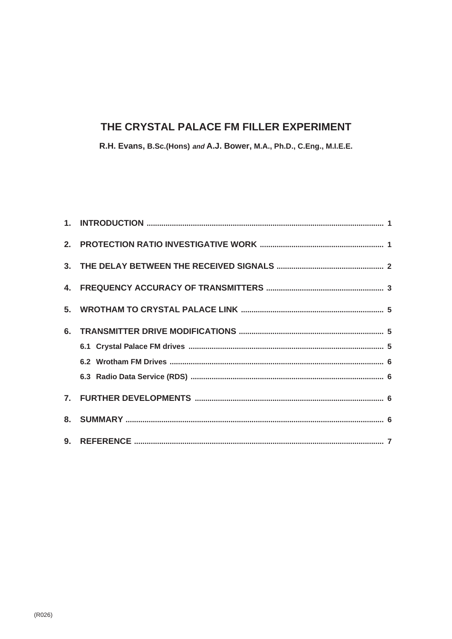# THE CRYSTAL PALACE FM FILLER EXPERIMENT

R.H. Evans, B.Sc.(Hons) and A.J. Bower, M.A., Ph.D., C.Eng., M.I.E.E.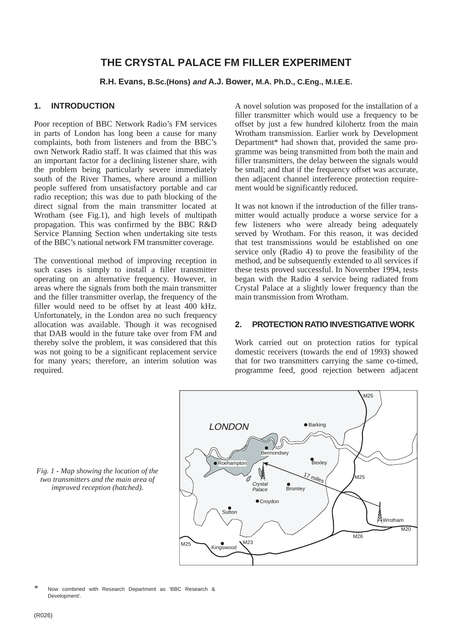## **THE CRYSTAL PALACE FM FILLER EXPERIMENT**

**R.H. Evans, B.Sc.(Hons) and A.J. Bower, M.A. Ph.D., C.Eng., M.I.E.E.**

#### **1. INTRODUCTION**

Poor reception of BBC Network Radio's FM services in parts of London has long been a cause for many complaints, both from listeners and from the BBC's own Network Radio staff. It was claimed that this was an important factor for a declining listener share, with the problem being particularly severe immediately south of the River Thames, where around a million people suffered from unsatisfactory portable and car radio reception; this was due to path blocking of the direct signal from the main transmitter located at Wrotham (see Fig.1), and high levels of multipath propagation. This was confirmed by the BBC R&D Service Planning Section when undertaking site tests of the BBC's national network FM transmitter coverage.

The conventional method of improving reception in such cases is simply to install a filler transmitter operating on an alternative frequency. However, in areas where the signals from both the main transmitter and the filler transmitter overlap, the frequency of the filler would need to be offset by at least 400 kHz. Unfortunately, in the London area no such frequency allocation was available. Though it was recognised that DAB would in the future take over from FM and thereby solve the problem, it was considered that this was not going to be a significant replacement service for many years; therefore, an interim solution was required.

A novel solution was proposed for the installation of a filler transmitter which would use a frequency to be offset by just a few hundred kilohertz from the main Wrotham transmission. Earlier work by Development Department\* had shown that, provided the same programme was being transmitted from both the main and filler transmitters, the delay between the signals would be small; and that if the frequency offset was accurate, then adjacent channel interference protection requirement would be significantly reduced.

It was not known if the introduction of the filler transmitter would actually produce a worse service for a few listeners who were already being adequately served by Wrotham. For this reason, it was decided that test transmissions would be established on one service only (Radio 4) to prove the feasibility of the method, and be subsequently extended to all services if these tests proved successful. In November 1994, tests began with the Radio 4 service being radiated from Crystal Palace at a slightly lower frequency than the main transmission from Wrotham.

#### **2. PROTECTION RATIO INVESTIGATIVE WORK**

Work carried out on protection ratios for typical domestic receivers (towards the end of 1993) showed that for two transmitters carrying the same co-timed, programme feed, good rejection between adjacent



*Fig. 1 - Map showing the location of the two transmitters and the main area of improved reception (hatched).*

Now combined with Research Department as 'BBC Research & Development'.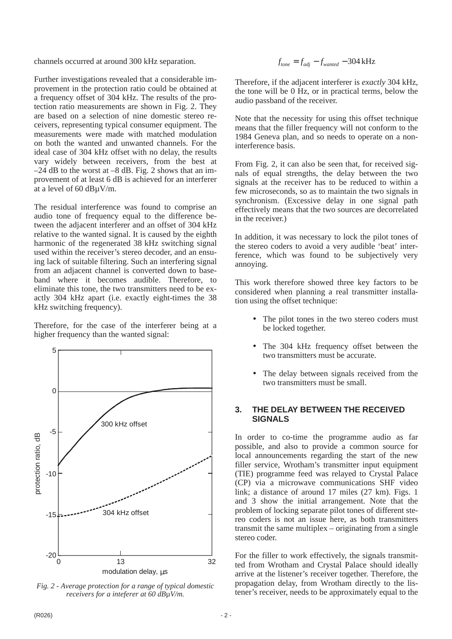channels occurred at around 300 kHz separation.

Further investigations revealed that a considerable improvement in the protection ratio could be obtained at a frequency offset of 304 kHz. The results of the protection ratio measurements are shown in Fig. 2. They are based on a selection of nine domestic stereo receivers, representing typical consumer equipment. The measurements were made with matched modulation on both the wanted and unwanted channels. For the ideal case of 304 kHz offset with no delay, the results vary widely between receivers, from the best at  $-24$  dB to the worst at  $-8$  dB. Fig. 2 shows that an improvement of at least 6 dB is achieved for an interferer at a level of 60 dBµV/m.

The residual interference was found to comprise an audio tone of frequency equal to the difference between the adjacent interferer and an offset of 304 kHz relative to the wanted signal. It is caused by the eighth harmonic of the regenerated 38 kHz switching signal used within the receiver's stereo decoder, and an ensuing lack of suitable filtering. Such an interfering signal from an adjacent channel is converted down to baseband where it becomes audible. Therefore, to eliminate this tone, the two transmitters need to be exactly 304 kHz apart (i.e. exactly eight-times the 38 kHz switching frequency).

Therefore, for the case of the interferer being at a higher frequency than the wanted signal:



*Fig. 2 - Average protection for a range of typical domestic receivers for a inteferer at 60 dB*µ*V/m.*

$$
f_{\text{tone}} = f_{\text{adj}} - f_{\text{wanted}} - 304 \,\text{kHz}
$$

Therefore, if the adjacent interferer is *exactly* 304 kHz, the tone will be 0 Hz, or in practical terms, below the audio passband of the receiver.

Note that the necessity for using this offset technique means that the filler frequency will not conform to the 1984 Geneva plan, and so needs to operate on a noninterference basis.

From Fig. 2, it can also be seen that, for received signals of equal strengths, the delay between the two signals at the receiver has to be reduced to within a few microseconds, so as to maintain the two signals in synchronism. (Excessive delay in one signal path effectively means that the two sources are decorrelated in the receiver.)

In addition, it was necessary to lock the pilot tones of the stereo coders to avoid a very audible 'beat' interference, which was found to be subjectively very annoying.

This work therefore showed three key factors to be considered when planning a real transmitter installation using the offset technique:

- The pilot tones in the two stereo coders must be locked together.
- The 304 kHz frequency offset between the two transmitters must be accurate.
- The delay between signals received from the two transmitters must be small.

#### **3. THE DELAY BETWEEN THE RECEIVED SIGNALS**

In order to co-time the programme audio as far possible, and also to provide a common source for local announcements regarding the start of the new filler service, Wrotham's transmitter input equipment (TIE) programme feed was relayed to Crystal Palace (CP) via a microwave communications SHF video link; a distance of around 17 miles (27 km). Figs. 1 and 3 show the initial arrangement. Note that the problem of locking separate pilot tones of different stereo coders is not an issue here, as both transmitters transmit the same multiplex – originating from a single stereo coder.

For the filler to work effectively, the signals transmitted from Wrotham and Crystal Palace should ideally arrive at the listener's receiver together. Therefore, the propagation delay, from Wrotham directly to the listener's receiver, needs to be approximately equal to the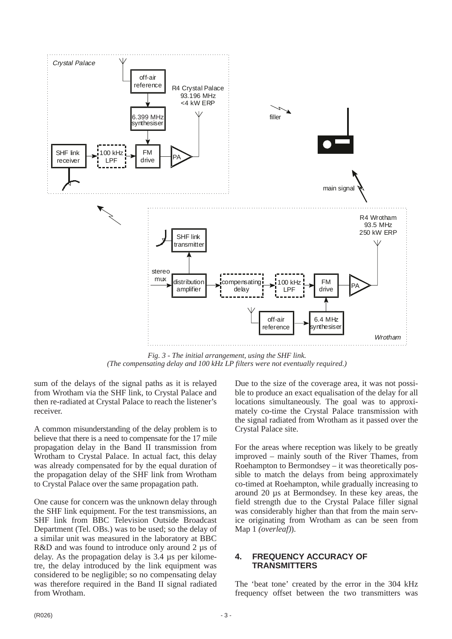

*Fig. 3 - The initial arrangement, using the SHF link. (The compensating delay and 100 kHz LP filters were not eventually required.)*

sum of the delays of the signal paths as it is relayed from Wrotham via the SHF link, to Crystal Palace and then re-radiated at Crystal Palace to reach the listener's receiver.

A common misunderstanding of the delay problem is to believe that there is a need to compensate for the 17 mile propagation delay in the Band II transmission from Wrotham to Crystal Palace. In actual fact, this delay was already compensated for by the equal duration of the propagation delay of the SHF link from Wrotham to Crystal Palace over the same propagation path.

One cause for concern was the unknown delay through the SHF link equipment. For the test transmissions, an SHF link from BBC Television Outside Broadcast Department (Tel. OBs.) was to be used; so the delay of a similar unit was measured in the laboratory at BBC R&D and was found to introduce only around 2  $\mu$ s of delay. As the propagation delay is 3.4 µs per kilometre, the delay introduced by the link equipment was considered to be negligible; so no compensating delay was therefore required in the Band II signal radiated from Wrotham.

Due to the size of the coverage area, it was not possible to produce an exact equalisation of the delay for all locations simultaneously. The goal was to approximately co-time the Crystal Palace transmission with the signal radiated from Wrotham as it passed over the Crystal Palace site.

For the areas where reception was likely to be greatly improved – mainly south of the River Thames, from Roehampton to Bermondsey – it was theoretically possible to match the delays from being approximately co-timed at Roehampton, while gradually increasing to around 20 µs at Bermondsey. In these key areas, the field strength due to the Crystal Palace filler signal was considerably higher than that from the main service originating from Wrotham as can be seen from Map 1 *(overleaf)*).

#### **4. FREQUENCY ACCURACY OF TRANSMITTERS**

The 'beat tone' created by the error in the 304 kHz frequency offset between the two transmitters was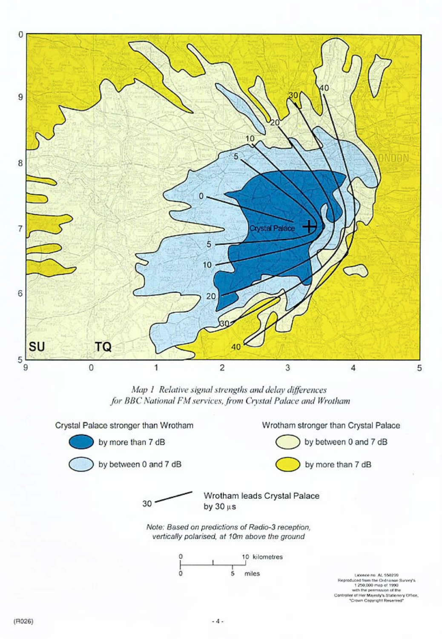

Map 1 Relative signal strengths and delay differences for BBC National FM services, from Crystal Palace and Wrotham





by more than 7 dB



by more than 7 dB

by between 0 and 7 dB

30

Wrotham leads Crystal Palace by  $30 \mu s$ 

Note: Based on predictions of Radio-3 reception, vertically polarised, at 10m above the ground



Licence no. AL 550299 Reproduced from the Ordnance Survey's 1250,000 map of 1990<br>with the permassion of the<br>ler of Her Majesty's Stationery Office, Crown Copyright Reserved\*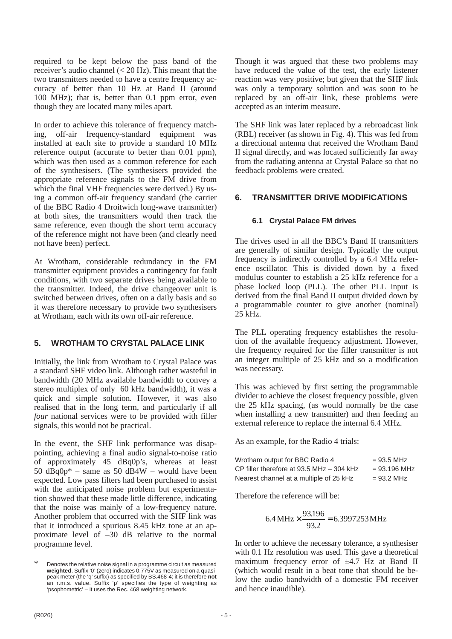required to be kept below the pass band of the receiver's audio channel  $(< 20$  Hz). This meant that the two transmitters needed to have a centre frequency accuracy of better than 10 Hz at Band II (around 100 MHz); that is, better than 0.1 ppm error, even though they are located many miles apart.

In order to achieve this tolerance of frequency matching, off-air frequency-standard equipment was installed at each site to provide a standard 10 MHz reference output (accurate to better than 0.01 ppm), which was then used as a common reference for each of the synthesisers. (The synthesisers provided the appropriate reference signals to the FM drive from which the final VHF frequencies were derived.) By using a common off-air frequency standard (the carrier of the BBC Radio 4 Droitwich long-wave transmitter) at both sites, the transmitters would then track the same reference, even though the short term accuracy of the reference might not have been (and clearly need not have been) perfect.

At Wrotham, considerable redundancy in the FM transmitter equipment provides a contingency for fault conditions, with two separate drives being available to the transmitter. Indeed, the drive changeover unit is switched between drives, often on a daily basis and so it was therefore necessary to provide two synthesisers at Wrotham, each with its own off-air reference.

#### **5. WROTHAM TO CRYSTAL PALACE LINK**

Initially, the link from Wrotham to Crystal Palace was a standard SHF video link. Although rather wasteful in bandwidth (20 MHz available bandwidth to convey a stereo multiplex of only 60 kHz bandwidth), it was a quick and simple solution. However, it was also realised that in the long term, and particularly if all *four* national services were to be provided with filler signals, this would not be practical.

In the event, the SHF link performance was disappointing, achieving a final audio signal-to-noise ratio of approximately 45 dBq0p's, whereas at least 50  $dBq0p^*$  – same as 50  $dB4W$  – would have been expected. Low pass filters had been purchased to assist with the anticipated noise problem but experimentation showed that these made little difference, indicating that the noise was mainly of a low-frequency nature. Another problem that occurred with the SHF link was that it introduced a spurious 8.45 kHz tone at an approximate level of –30 dB relative to the normal programme level.

Though it was argued that these two problems may have reduced the value of the test, the early listener reaction was very positive; but given that the SHF link was only a temporary solution and was soon to be replaced by an off-air link, these problems were accepted as an interim measure.

The SHF link was later replaced by a rebroadcast link (RBL) receiver (as shown in Fig. 4). This was fed from a directional antenna that received the Wrotham Band II signal directly, and was located sufficiently far away from the radiating antenna at Crystal Palace so that no feedback problems were created.

#### **6. TRANSMITTER DRIVE MODIFICATIONS**

#### **6.1 Crystal Palace FM drives**

The drives used in all the BBC's Band II transmitters are generally of similar design. Typically the output frequency is indirectly controlled by a 6.4 MHz reference oscillator. This is divided down by a fixed modulus counter to establish a 25 kHz reference for a phase locked loop (PLL). The other PLL input is derived from the final Band II output divided down by a programmable counter to give another (nominal)  $25$  kHz.

The PLL operating frequency establishes the resolution of the available frequency adjustment. However, the frequency required for the filler transmitter is not an integer multiple of 25 kHz and so a modification was necessary.

This was achieved by first setting the programmable divider to achieve the closest frequency possible, given the 25 kHz spacing, (as would normally be the case when installing a new transmitter) and then feeding an external reference to replace the internal 6.4 MHz.

As an example, for the Radio 4 trials:

| Wrotham output for BBC Radio 4              | $= 93.5 \text{ MHz}$   |
|---------------------------------------------|------------------------|
| CP filler therefore at 93.5 MHz $-$ 304 kHz | $= 93.196 \text{ MHz}$ |
| Nearest channel at a multiple of 25 kHz     | $= 93.2 \text{ MHz}$   |

Therefore the reference will be:

$$
6.4 \text{ MHz} \times \frac{93.196}{93.2} = 6.3997253 \text{ MHz}
$$

In order to achieve the necessary tolerance, a synthesiser with 0.1 Hz resolution was used. This gave a theoretical maximum frequency error of  $\pm 4.7$  Hz at Band II (which would result in a beat tone that should be below the audio bandwidth of a domestic FM receiver and hence inaudible).

Denotes the relative noise signal in a programme circuit as measured **weighted**. Suffix '0' (zero) indicates 0.775V as measured on a **q**uasipeak meter (the 'q' suffix) as specified by BS.468-4; it is therefore **not** an r.m.s. value. Suffix 'p' specifies the type of weighting as 'psophometric' – it uses the Rec. 468 weighting network.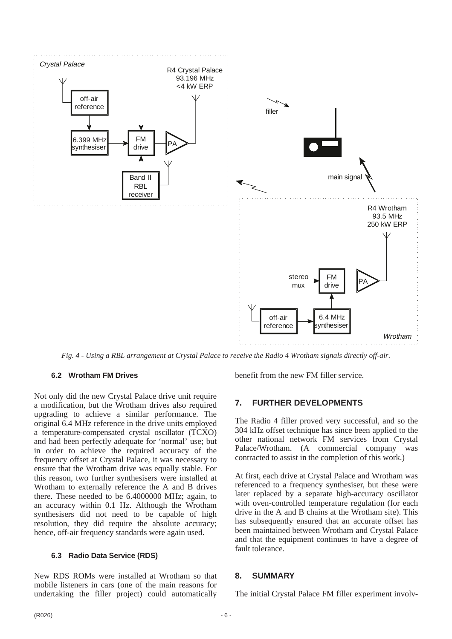

*Fig. 4 - Using a RBL arrangement at Crystal Palace to receive the Radio 4 Wrotham signals directly off-air.*

#### **6.2 Wrotham FM Drives**

Not only did the new Crystal Palace drive unit require a modification, but the Wrotham drives also required upgrading to achieve a similar performance. The original 6.4 MHz reference in the drive units employed a temperature-compensated crystal oscillator (TCXO) and had been perfectly adequate for 'normal' use; but in order to achieve the required accuracy of the frequency offset at Crystal Palace, it was necessary to ensure that the Wrotham drive was equally stable. For this reason, two further synthesisers were installed at Wrotham to externally reference the A and B drives there. These needed to be 6.4000000 MHz; again, to an accuracy within 0.1 Hz. Although the Wrotham synthesisers did not need to be capable of high resolution, they did require the absolute accuracy; hence, off-air frequency standards were again used.

#### **6.3 Radio Data Service (RDS)**

New RDS ROMs were installed at Wrotham so that mobile listeners in cars (one of the main reasons for undertaking the filler project) could automatically

benefit from the new FM filler service.

#### **7. FURTHER DEVELOPMENTS**

The Radio 4 filler proved very successful, and so the 304 kHz offset technique has since been applied to the other national network FM services from Crystal Palace/Wrotham. (A commercial company was contracted to assist in the completion of this work.)

At first, each drive at Crystal Palace and Wrotham was referenced to a frequency synthesiser, but these were later replaced by a separate high-accuracy oscillator with oven-controlled temperature regulation (for each drive in the A and B chains at the Wrotham site). This has subsequently ensured that an accurate offset has been maintained between Wrotham and Crystal Palace and that the equipment continues to have a degree of fault tolerance.

#### **8. SUMMARY**

The initial Crystal Palace FM filler experiment involv-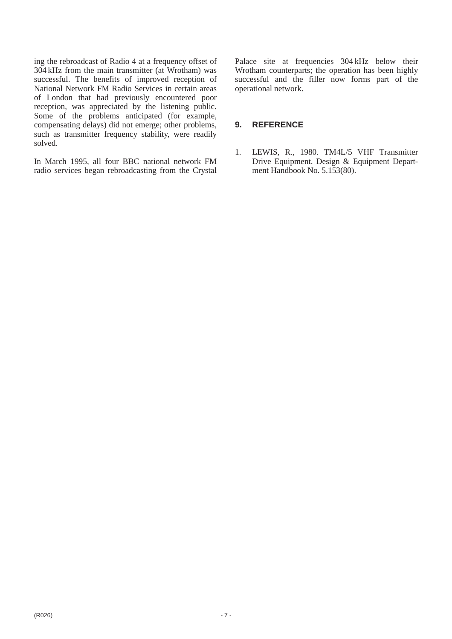ing the rebroadcast of Radio 4 at a frequency offset of 304 kHz from the main transmitter (at Wrotham) was successful. The benefits of improved reception of National Network FM Radio Services in certain areas of London that had previously encountered poor reception, was appreciated by the listening public. Some of the problems anticipated (for example, compensating delays) did not emerge; other problems, such as transmitter frequency stability, were readily solved.

In March 1995, all four BBC national network FM radio services began rebroadcasting from the Crystal Palace site at frequencies 304 kHz below their Wrotham counterparts; the operation has been highly successful and the filler now forms part of the operational network.

#### **9. REFERENCE**

1. LEWIS, R., 1980. TM4L/5 VHF Transmitter Drive Equipment. Design & Equipment Department Handbook No. 5.153(80).